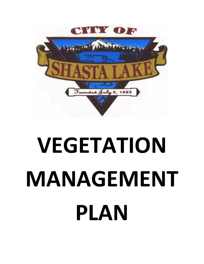

# **VEGETATION MANAGEMENT PLAN**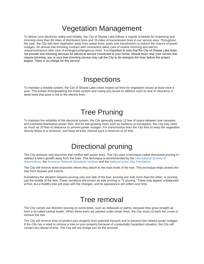# Vegetation Management

To deliver your electricity safely and reliably, the City of Shasta Lake follows a regular schedule for inspecting and trimming more than 60 miles of distribution lines and 15 miles of transmission lines in our service area. Throughout the year, the City will clear vegetation away from power lines, poles and transformers to reduce the chance of power outages. An annual tree trimming contract with contractors takes care of routine trimming and electric crews/contractors take care of emergency/dangerous trees. It is important to note that the City of Shasta Lake does not provide tree trimming services for electrical service connected to your home. Should trees near your service line require trimming, you or your tree trimming service may call the City to de-energize the lines before the project begins. There is no charge for this service.

## **Inspections**

To maintain a reliable system, the City of Shasta Lake crews inspect all lines for vegetation issues at least once a year. This entails driving/walking the entire system and noting any issues to address such as lack of clearance or dead trees that pose a risk to the electric lines.

## Tree Pruning

To maintain the reliability of the electrical system, the City generally needs 12 feet of space between tree canopies and overhead distribution power lines. But for fast-growing trees such as mulberry or eucalyptus, the City may need as much as 20 feet of clearance to prevent power outages. For transmission lines the City tries to keep the vegetation directly below to a minimum, and keep all trees cleared back a minimum of 20 feet.

# Directional pruning

The City removes only branches that conflict with power lines. The City uses a technique called directional pruning to redirect a tree's growth away from the lines. This technique is recommended by th[e International Society of](http://www.isa-arbor.com/)  [Arboriculture,](http://www.isa-arbor.com/) the [American National Standards Institute](http://www.ansi.org/) and the [National Arbor Day Foundation.](http://www.arborday.org/)

The City will remove entire branches where they attach to the main trunk of the tree. This technique helps protect the tree from disease and insects.

Sometimes the situation requires pruning only one side of the tree, pruning one side more than the other, or pruning just the middle of the tree. These variations are known as side pruning or "V pruning." Trees may appear unbalanced at first, but a healthy tree will cope with the changes, and its appearance will soften over time.

## Tree removal

The City cannot use direction pruning on some trees, such as redwoods or palms, because they grow straight up from a so-called central leader. When these trees are planted under power lines, the City must cut back the crown or remove the tree.

The City will remove trees to protect your property from potential hazards and to prevent tree-related power outages. If the City has a need to remove a tree on your property because of a potentially hazardous situation, the City will contact you ahead of time. The City will not charge you for the removal.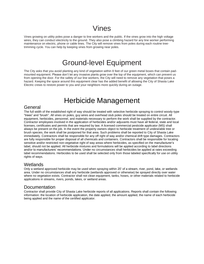# Vines

Vines growing on utility poles pose a danger to line workers and the public. If the vines grow into the high voltage wires, they can conduct electricity to the ground. They also pose a climbing hazard for any line worker performing maintenance on electric, phone or cable lines. The City will remove vines from poles during each routine treetrimming cycle. You can help by keeping vines from growing near poles.

## Ground-level Equipment

The City asks that you avoid planting any kind of vegetation within 8 feet of our green metal boxes that contain padmounted equipment. Please don't let any invasive plants grow over the top of the equipment, which can prevent us from opening the door. For the safety of our line workers, the City will need to remove any vegetation that poses a hazard. Keeping the space around this equipment clear has the added benefit of allowing the City of Shasta Lake Electric crews to restore power to you and your neighbors more quickly during an outage.

# Herbicide Management

#### General

The full width of the established right of way should be treated with selective herbicide spraying to control woody‐type "trees" and "brush". All vines on poles, guy wires and overhead stub poles should be treated on entire circuit. All equipment, herbicides, personnel, and materials necessary to perform the work shall be supplied by the contractor. Contractor employees involved in the application of herbicides and/or adjuvants must have all federal, state and local licenses, certificates and permits that are required by law. A licensed commercial pesticide applicator (MS) shall always be present on the job. In the event the property owners object to herbicide treatment of undesirable tree or brush species, the work shall be postponed for that area. Such problems shall be reported to City of Shasta Lake immediately. Contractors shall be responsible for any off right of way and/or chemical drift type damages. Contractors are fully responsible for proper disposal of all chemicals and containers. Contractors shall be responsible for locating sensitive and/or restricted non-vegetative right of way areas where herbicides, as specified on the manufacturer's label, should not be applied. All herbicide mixtures and formulations will be applied according to label directions and/or to manufacturers' recommendations. Under no circumstances shall herbicides be applied at rates exceeding label recommendations. Herbicides to be used shall be selected only from those labeled specifically for use on utility rights of ways.

#### **Wetlands**

Only a wetland approved herbicide may be used when spraying within 20' of a stream, river, pond, lake, or wetlands area. Under no circumstances shall any herbicide (wetlands approved or otherwise) be sprayed directly over water where no vegetation exists. Contractor shall not clean equipment, tanks, hoses, or other materials related to herbicide applications in streams, rivers, ponds, lakes, or wetland areas.

## Documentation

Contractor shall provide City of Shasta Lake herbicide reports of all applications. Reports shall contain the following information: the location of herbicide application, the date applied, the amount applied, the name of each herbicide being applied and the name of the certified applicator.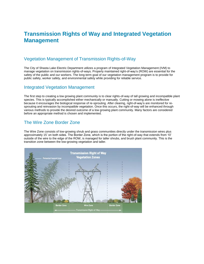## **Transmission Rights of Way and Integrated Vegetation Management**

## Vegetation Management of Transmission Rights-of-Way

The City of Shasta Lake Electric Department utilizes a program of Integrated Vegetation Management (IVM) to manage vegetation on transmission rights-of-ways. Properly maintained right-of-way's (ROW) are essential for the safety of the public and our workers. The long-term goal of our vegetation management program is to provide for public safety, worker safety, and environmental safety while providing for reliable service.

#### Integrated Vegetation Management

The first step to creating a low growing plant community is to clear rights-of-way of tall growing and incompatible plant species. This is typically accomplished either mechanically or manually. Cutting or mowing alone is ineffective because it encourages the biological response of re-sprouting. After clearing, right-of-way's are monitored for resprouting and reinvasion by incompatible vegetation. Once this occurs, the right-of-way will be enhanced through various methods to provide the desired outcome of a low growing plant community. Many factors are considered before an appropriate method is chosen and implemented.

## The Wire Zone Border Zone

The Wire Zone consists of low-growing shrub and grass communities directly under the transmission wires plus approximately 15' on both sides. The Border Zone, which is the portion of the right-of-way that extends from 10' outside of the wire to the edge of the ROW, is managed for taller shrubs, and brush plant community. This is the transition zone between the low-growing vegetation and taller.

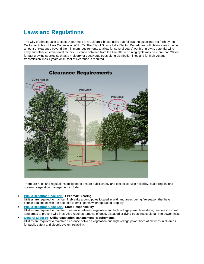## **Laws and Regulations**

The City of Shasta Lake Electric Department is a California-based utility that follows the guidelines set forth by the California Public Utilities Commission (CPUC). The City of Shasta Lake Electric Department will obtain a reasonable amount of clearance beyond the minimum requirements to allow for several years' worth of growth, potential wind sway and other environmental factors. Distance obtained from the line after a pruning cycle may be more than 20 feet for fast growing species such as a mulberry or eucalyptus trees along distribution lines and for high voltage transmission lines 4 years or 40 feet of clearance is required.



There are rules and regulations designed to ensure public safety and electric service reliability. Major regulations covering vegetation management include:

• **[Public Resource Code 4292:](http://www.pge.com/mybusiness/customerservice/otherrequests/treetrimming/lawsregulations/#publicresourcecodesection4292powerlinehazardreduction) Firebreak Clearing**

Utilities are required to maintain firebreaks around poles located in wild land areas during fire season that have certain equipment with the potential to emit sparks when operating properly.

- **[Public Resource Code 4293:](http://www.pge.com/mybusiness/customerservice/otherrequests/treetrimming/lawsregulations/#publicresourcecodesection4293lineclearanceguidelines) State Responsibility** Utilities are required to maintain clearance between vegetation and high voltage power lines during fire season in wild land areas to prevent wild fires. Also requires removal of dead, diseased or dying trees that could fall into power lines.
- **[General Order](http://www.pge.com/mybusiness/customerservice/otherrequests/treetrimming/lawsregulations/#generalorder95rule35treepruning) 95: Utility Vegetation Management Requirements** Utilities are required to maintain clearance between vegetation and high voltage power lines at all times in all areas for public safety and electric system reliability.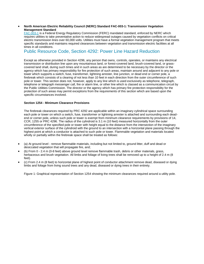#### • **North American Electric Reliability Council (NERC) Standard FAC-003-1: Transmission Vegetation Management Standard**

[FAC-003-1](ftp://www.nerc.com/pub/sys/all_updl/standards/rs/FAC-003-1.pdf) is a Federal Energy Regulatory Commission (FERC) mandated standard, enforced by NERC which requires utilities to take preventative action to reduce widespread outages caused by vegetation conflicts on critical electric transmission lines over 60,000 volts. Utilities must have a formal vegetation management program that meets specific standards and maintains required clearances between vegetation and transmission electric facilities at all times in all conditions.

#### Public Resource Code, Section 4292: Power Line Hazard Reduction

Except as otherwise provided in Section 4296, any person that owns, controls, operates, or maintains any electrical transmission or distribution line upon any mountainous land, or forest-covered land, brush-covered land, or grasscovered land shall, during such times and in such areas as are determined to be necessary by the director or the agency which has primary responsibility for fire protection of such areas, maintain around and adjacent to any pole or tower which supports a switch, fuse, transformer, lightning arrester, line junction, or dead end or corner pole, a firebreak which consists of a clearing of not less than 10 feet in each direction from the outer circumference of such pole or tower. This section does not, however, apply to any line which is used exclusively as telephone, telegraph, telephone or telegraph messenger call, fire or alarm line, or other line which is classed as a communication circuit by the Public Utilities Commission. The director or the agency which has primary fire protection responsibility for the protection of such areas may permit exceptions from the requirements of this section which are based upon the specific circumstances involved.

#### **Section 1254 - Minimum Clearance Provisions**

The firebreak clearances required by PRC 4292 are applicable within an imaginary cylindrical space surrounding each pole or tower on which a switch, fuse, transformer or lightning arrester is attached and surrounding each deadend or corner pole, unless such pole or tower is exempt from minimum clearance requirements by provisions of 14, CCR, 1255 or PRC 4296. The radius of the cylindroid is 3.1 m (10 feet) measured horizontally from the outer circumference of the specified pole or tower with height equal to the distance from the intersection of the imaginary vertical exterior surface of the cylindroid with the ground to an intersection with a horizontal plane passing through the highest point at which a conductor is attached to such pole or tower. Flammable vegetation and materials located wholly or partially within the firebreak space shall be treated as follows:

- (a) At ground level remove flammable materials, including but not limited to, ground litter, duff and dead or desiccated vegetation that will propagate fire, and;
- (b) From 0 2.4 m (0-8 feet) above ground level remove flammable trash, debris or other materials, grass, herbaceous and brush vegetation. All limbs and foliage of living trees shall be removed up to a height of 2.4 m (8 feet).
- (c) From 2.4 m (8 feet) to horizontal plane of highest point of conductor attachment remove dead, diseased or dying limbs and foliage from living sound trees and any dead, diseased or dying trees in their entirety.

Figure 1: Graphical representation of Section 1254 showing the minimum clearances required around a utility pole.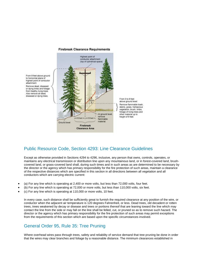

#### **Firebreak Clearance Requirements**

## Public Resource Code, Section 4293: Line Clearance Guidelines

Except as otherwise provided in Sections 4294 to 4296, inclusive, any person that owns, controls, operates, or maintains any electrical transmission or distribution line upon any mountainous land, or in forest-covered land, brushcovered land, or grass-covered land shall, during such times and in such areas as are determined to be necessary by the director or the agency which has primary responsibility for the fire protection of such areas, maintain a clearance of the respective distances which are specified in this section in all directions between all vegetation and all conductors which are carrying electric current:

- (a) For any line which is operating at 2,400 or more volts, but less than 72,000 volts, four feet.
- (b) For any line which is operating at 72,000 or more volts, but less than 110,000 volts, six feet.
- (c) For any line which is operating at 110,000 or more volts, 10 feet.

In every case, such distance shall be sufficiently great to furnish the required clearance at any position of the wire, or conductor when the adjacent air temperature is 120 degrees Fahrenheit, or less. Dead trees, old decadent or rotten trees, trees weakened by decay or disease and trees or portions thereof that are leaning toward the line which may contact the line from the side or may fall on the line shall be felled, cut, or pruned so as to remove such hazard. The director or the agency which has primary responsibility for the fire protection of such areas may permit exceptions from the requirements of this section which are based upon the specific circumstances involved.

#### General Order 95, Rule 35: Tree Pruning

Where overhead wires pass through trees, safety and reliability of service demand that tree pruning be done in order that the wires may clear branches and foliage by a reasonable distance. The minimum clearances established in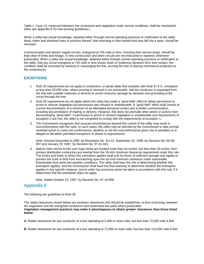Table 1, Case 13, measured between line conductors and vegetation under normal conditions, shall be maintained. (Also see Appendix E for tree pruning guidelines.)

When a utility has actual knowledge, obtained either through normal operating practices or notification to the utility, dead, rotten and diseased trees or portions thereof, that overhang or lean toward and may fall into a span, should be removed.

Communication and electric supply circuits, energized at 750 volts or less, including their service drops, should be kept clear of limbs and foliage, in new construction and when circuits are reconstructed or repaired, whenever practicable. When a utility has actual knowledge, obtained either through normal operating practices or notification to the utility, that any circuit energized at 750 volts or less shows strain or evidences abrasion form tree contact, the condition shall be corrected by slacking or rearranging the line, pruning the tree or placing mechanical protection or the conductor(s).

#### **EXCEPTIONS:**

- 1. Rule 35 requirements do not apply to conductors, or aerial cable that complies with Rule 57.4-C, energized at less than 60,000 volts, where pruning or removal is not practicable, and the conductor is separated from the tree with suitable materials or devices to avoid conductor damage by abrasion and grounding of the circuit through the tree.
- 2. Rule 35 requirements do not apply where the utility has made a "good faith" effort to obtain permission to prune or remove vegetation but permission was refused or unobtainable. A "good faith" effort shall consist of current documentation of a minimum of an attempted personal contact and a written communication, including documentation of mailing or delivery. However, this does not preclude other action or actions from demonstrating "good faith". If permission to prune or remove vegetation is unobtainable and requirements of exception 2 are met, the utility is not compelled to comply with the requirements of exception 1.
- 3. The Commission recognizes that unusual circumstances beyond the control of the utility may result in nonconformance with the rules. In such cases, the utility may be directed by the Commission to take prompt remedial action to come into conformance, whether or not the nonconformance gives rise to penalties or is alleged to fall within permitted exceptions or phase-in requirements.

Note: Revised November 6,1992, by Resolution No. SU-15, September 20, 1996, by Decision No. 96-09- 097 and January 29, 1997, by Decision No. 97-01-044.

4. Mature trees whose trunks and major limbs are located more than six inches, but less than 18 inches, from primary distribution conductors are exempt from the 19-inch minimum clearance requirement under this rule. The trunks and limbs to which this exemption applies shall only be those of sufficient strength and rigidity to prevent the trunk or limb from encroaching upon the six-inch minimum clearance under reasonable, foreseeable local wind and weather conditions. The utility shall bear the risk of determining whether this exemption applies, and the Commission shall have the final authority to determine whether the exemption applies in any specific instance, and to order hat corrective action be taken in accordance with this rule, if it determines that the exemption does not apply.

Note: Added October 22, 1997, by Decision No. 97-10-056.

## Appendix E

The following are guidelines to Rule 35.

The radial clearances shown below are minimum clearances that should be established, at time of pruning, between the vegetation and the energized conductors and associated live parts where practicable. **Vegetation management practices may make it advantageous to obtain greater clearances than those listed below:**

**A.** Radial clearances for any conductor of a line operating at 2,400 or more volts, but less than 72,000 volts 4 feet

**B.** Radial clearances for any conductor of a line operating at 72,000 or more volts, but less than 110,000 volts 6 feet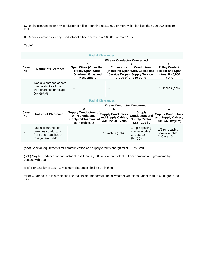**C.** Radial clearances for any conductor of a line operating at 110,000 or more volts, but less than 300,000 volts 10 feet

**D.** Radial clearances for any conductor of a line operating at 300,000 or more 15 feet

#### **Table1:**

| <b>Radial Clearances</b> |                                                                                             |                                                                                                            |                                                                      |                                                                                                                                                                                   |                                                                    |
|--------------------------|---------------------------------------------------------------------------------------------|------------------------------------------------------------------------------------------------------------|----------------------------------------------------------------------|-----------------------------------------------------------------------------------------------------------------------------------------------------------------------------------|--------------------------------------------------------------------|
| Case<br>No.              | <b>Nature of Clearance</b>                                                                  | A<br>Span Wires (Other than<br><b>Trolley Span Wires)</b><br><b>Overhead Guys and</b><br><b>Messengers</b> |                                                                      | <b>Wire or Conductor Concerned</b><br>в<br><b>Communication Conductors</b><br>(Including Open Wire, Cables and<br><b>Service Drops), Supply Service</b><br>Drops of 0 - 750 Volts |                                                                    |
| 13                       | Radial clearance of bare<br>line conductors from<br>tree branches or foliage<br>(aaa)(ddd)  |                                                                                                            |                                                                      |                                                                                                                                                                                   | 18 inches (bbb)                                                    |
| <b>Radial Clearances</b> |                                                                                             |                                                                                                            |                                                                      |                                                                                                                                                                                   |                                                                    |
|                          |                                                                                             | <b>Wire or Conductor Concerned</b><br>Е<br>F<br>D                                                          |                                                                      |                                                                                                                                                                                   | G                                                                  |
| Case<br>No.              | <b>Nature of Clearance</b>                                                                  | <b>Supply Conductors of</b><br>0 - 750 Volts and<br><b>Supply Cables Treated</b><br>as in Rule 57.8        | <b>Supply Conductors</b><br>and Supply Cables,<br>750 - 22,500 Volts | <b>Supply</b><br><b>Conductors and</b><br><b>Supply Cables,</b><br>22.5 - 300 kV                                                                                                  | <b>Supply Conductors</b><br>and Supply Cables,<br>300 - 550 kV(mm) |
| 13                       | Radial clearance of<br>bare line conductors<br>from tree branches or<br>foliage (aaa) (ddd) |                                                                                                            | 18 inches (bbb)                                                      | 1/4 pin spacing<br>shown in table<br>2, Case 15<br>$(bbb)$ $(ccc)$                                                                                                                | 1/2 pin spacing<br>shown in table<br>2, Case 15                    |

(aaa) Special requirements for communication and supply circuits energized at 0 - 750 volt

(bbb) May be Reduced for conductor of less than 60,000 volts when protected from abrasion and grounding by contact with tree.

(ccc) For 22.5 kV to 105 kV, minimum clearance shall be 18 inches.

(ddd) Clearances in this case shall be maintained for normal annual weather variations, rather than at 60 degrees, no wind.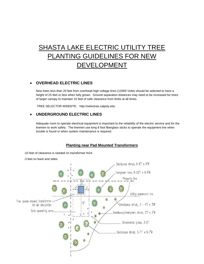# SHASTA LAKE ELECTRIC UTILITY TREE PLANTING GUIDELINES FOR NEW DEVELOPMENT

#### • **OVERHEAD ELECTRIC LINES**

New trees less than 20 feet from overhead high voltage lines (12000 Volts) should be selected to have a height of 25 feet or less when fully grown. Ground separation distances may need to be increased for trees of larger canopy to maintain 10 feet of safe clearance from limbs at all times.

TREE SELECTOR WEBSITE: http://selectree.calpoly.edu

#### • **UNDERGROUND ELECTRIC LINES**

Adequate room to operate electrical equipment is important to the reliability of the electric service and for the linemen to work safely. The linemen use long 8 foot fiberglass sticks to operate the equipment live when trouble is found or when system maintenance is required.